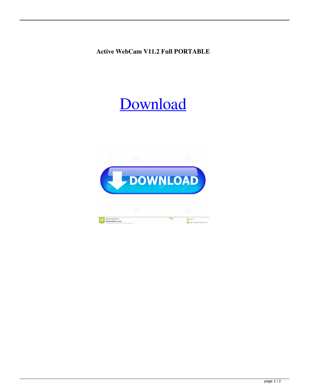**Active WebCam V11.2 Full PORTABLE**

## [Download](https://urllie.com/2l0h7q)